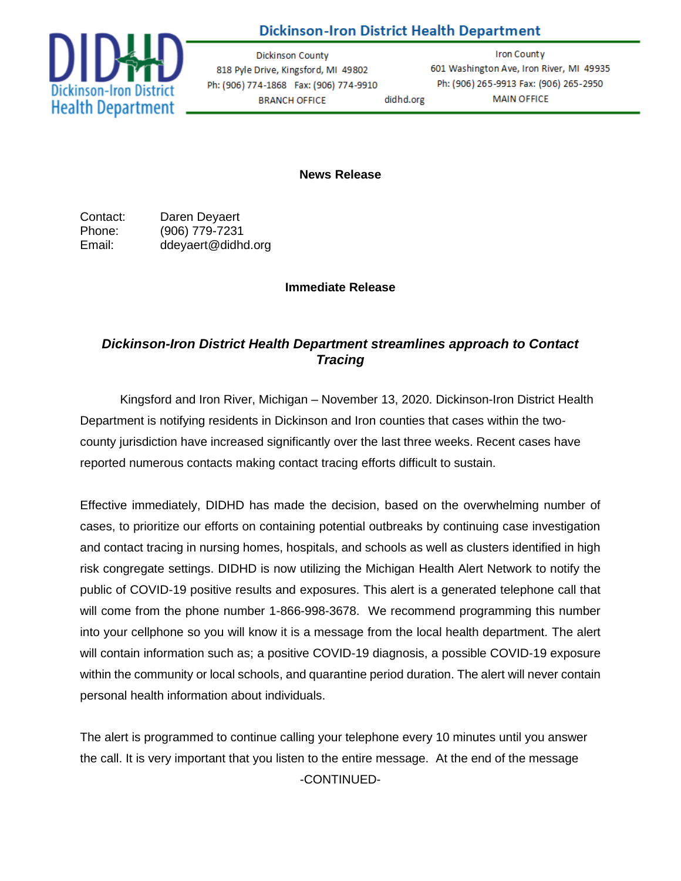

# **Dickinson-Iron District Health Department**

Dickinson County 818 Pyle Drive, Kingsford, MI 49802 Ph: (906) 774-1868 Fax: (906) 774-9910 **BRANCH OFFICE** didhd.org

**Iron County** 601 Washington Ave, Iron River, MI 49935 Ph: (906) 265-9913 Fax: (906) 265-2950 **MAIN OFFICE** 

**News Release**

Contact: Daren Deyaert Phone: (906) 779-7231 Email: ddeyaert@didhd.org

### **Immediate Release**

## *Dickinson-Iron District Health Department streamlines approach to Contact Tracing*

Kingsford and Iron River, Michigan – November 13, 2020. Dickinson-Iron District Health Department is notifying residents in Dickinson and Iron counties that cases within the twocounty jurisdiction have increased significantly over the last three weeks. Recent cases have reported numerous contacts making contact tracing efforts difficult to sustain.

Effective immediately, DIDHD has made the decision, based on the overwhelming number of cases, to prioritize our efforts on containing potential outbreaks by continuing case investigation and contact tracing in nursing homes, hospitals, and schools as well as clusters identified in high risk congregate settings. DIDHD is now utilizing the Michigan Health Alert Network to notify the public of COVID-19 positive results and exposures. This alert is a generated telephone call that will come from the phone number 1-866-998-3678. We recommend programming this number into your cellphone so you will know it is a message from the local health department. The alert will contain information such as; a positive COVID-19 diagnosis, a possible COVID-19 exposure within the community or local schools, and quarantine period duration. The alert will never contain personal health information about individuals.

The alert is programmed to continue calling your telephone every 10 minutes until you answer the call. It is very important that you listen to the entire message. At the end of the message -CONTINUED-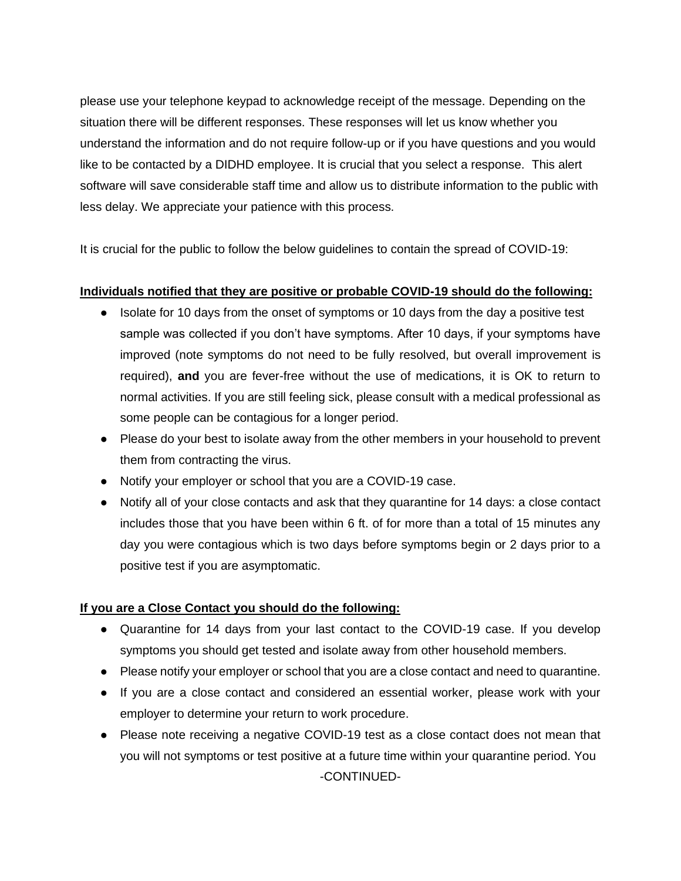please use your telephone keypad to acknowledge receipt of the message. Depending on the situation there will be different responses. These responses will let us know whether you understand the information and do not require follow-up or if you have questions and you would like to be contacted by a DIDHD employee. It is crucial that you select a response. This alert software will save considerable staff time and allow us to distribute information to the public with less delay. We appreciate your patience with this process.

It is crucial for the public to follow the below guidelines to contain the spread of COVID-19:

### **Individuals notified that they are positive or probable COVID-19 should do the following:**

- Isolate for 10 days from the onset of symptoms or 10 days from the day a positive test sample was collected if you don't have symptoms. After 10 days, if your symptoms have improved (note symptoms do not need to be fully resolved, but overall improvement is required), **and** you are fever-free without the use of medications, it is OK to return to normal activities. If you are still feeling sick, please consult with a medical professional as some people can be contagious for a longer period.
- Please do your best to isolate away from the other members in your household to prevent them from contracting the virus.
- Notify your employer or school that you are a COVID-19 case.
- Notify all of your close contacts and ask that they quarantine for 14 days: a close contact includes those that you have been within 6 ft. of for more than a total of 15 minutes any day you were contagious which is two days before symptoms begin or 2 days prior to a positive test if you are asymptomatic.

### **If you are a Close Contact you should do the following:**

- Quarantine for 14 days from your last contact to the COVID-19 case. If you develop symptoms you should get tested and isolate away from other household members.
- Please notify your employer or school that you are a close contact and need to quarantine.
- If you are a close contact and considered an essential worker, please work with your employer to determine your return to work procedure.
- Please note receiving a negative COVID-19 test as a close contact does not mean that you will not symptoms or test positive at a future time within your quarantine period. You -CONTINUED-